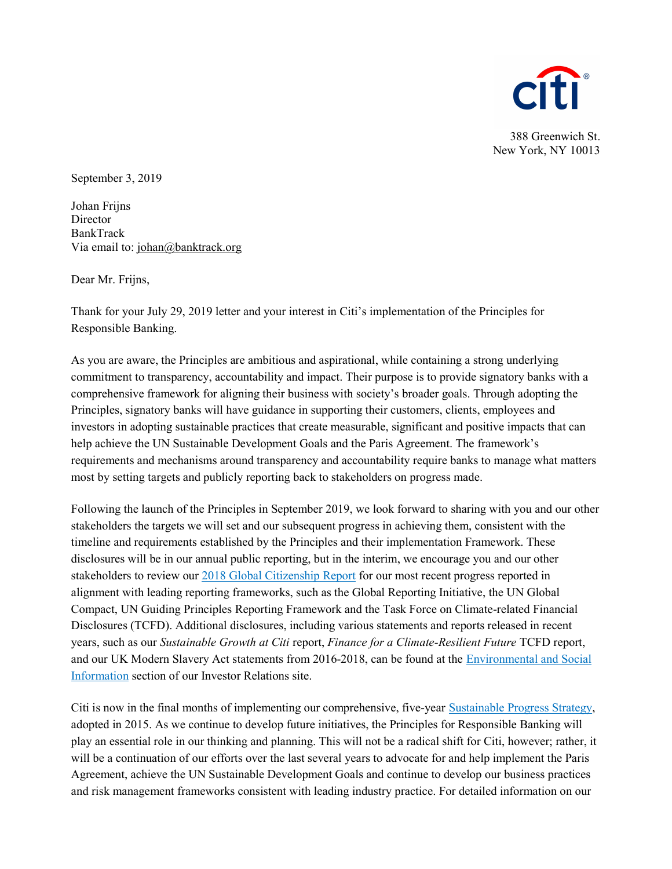

388 Greenwich St. New York, NY 10013

September 3, 2019

Johan Frijns **Director** BankTrack Via email to: johan@banktrack.org

Dear Mr. Frijns,

Thank for your July 29, 2019 letter and your interest in Citi's implementation of the Principles for Responsible Banking.

As you are aware, the Principles are ambitious and aspirational, while containing a strong underlying commitment to transparency, accountability and impact. Their purpose is to provide signatory banks with a comprehensive framework for aligning their business with society's broader goals. Through adopting the Principles, signatory banks will have guidance in supporting their customers, clients, employees and investors in adopting sustainable practices that create measurable, significant and positive impacts that can help achieve the UN Sustainable Development Goals and the Paris Agreement. The framework's requirements and mechanisms around transparency and accountability require banks to manage what matters most by setting targets and publicly reporting back to stakeholders on progress made.

Following the launch of the Principles in September 2019, we look forward to sharing with you and our other stakeholders the targets we will set and our subsequent progress in achieving them, consistent with the timeline and requirements established by the Principles and their implementation Framework. These disclosures will be in our annual public reporting, but in the interim, we encourage you and our other stakeholders to review our 2018 Global Citizenship Report for our most recent progress reported in alignment with leading reporting frameworks, such as the Global Reporting Initiative, the UN Global Compact, UN Guiding Principles Reporting Framework and the Task Force on Climate-related Financial Disclosures (TCFD). Additional disclosures, including various statements and reports released in recent years, such as our Sustainable Growth at Citi report, Finance for a Climate-Resilient Future TCFD report, and our UK Modern Slavery Act statements from 2016-2018, can be found at the Environmental and Social Information section of our Investor Relations site.

Citi is now in the final months of implementing our comprehensive, five-year Sustainable Progress Strategy, adopted in 2015. As we continue to develop future initiatives, the Principles for Responsible Banking will play an essential role in our thinking and planning. This will not be a radical shift for Citi, however; rather, it will be a continuation of our efforts over the last several years to advocate for and help implement the Paris Agreement, achieve the UN Sustainable Development Goals and continue to develop our business practices and risk management frameworks consistent with leading industry practice. For detailed information on our